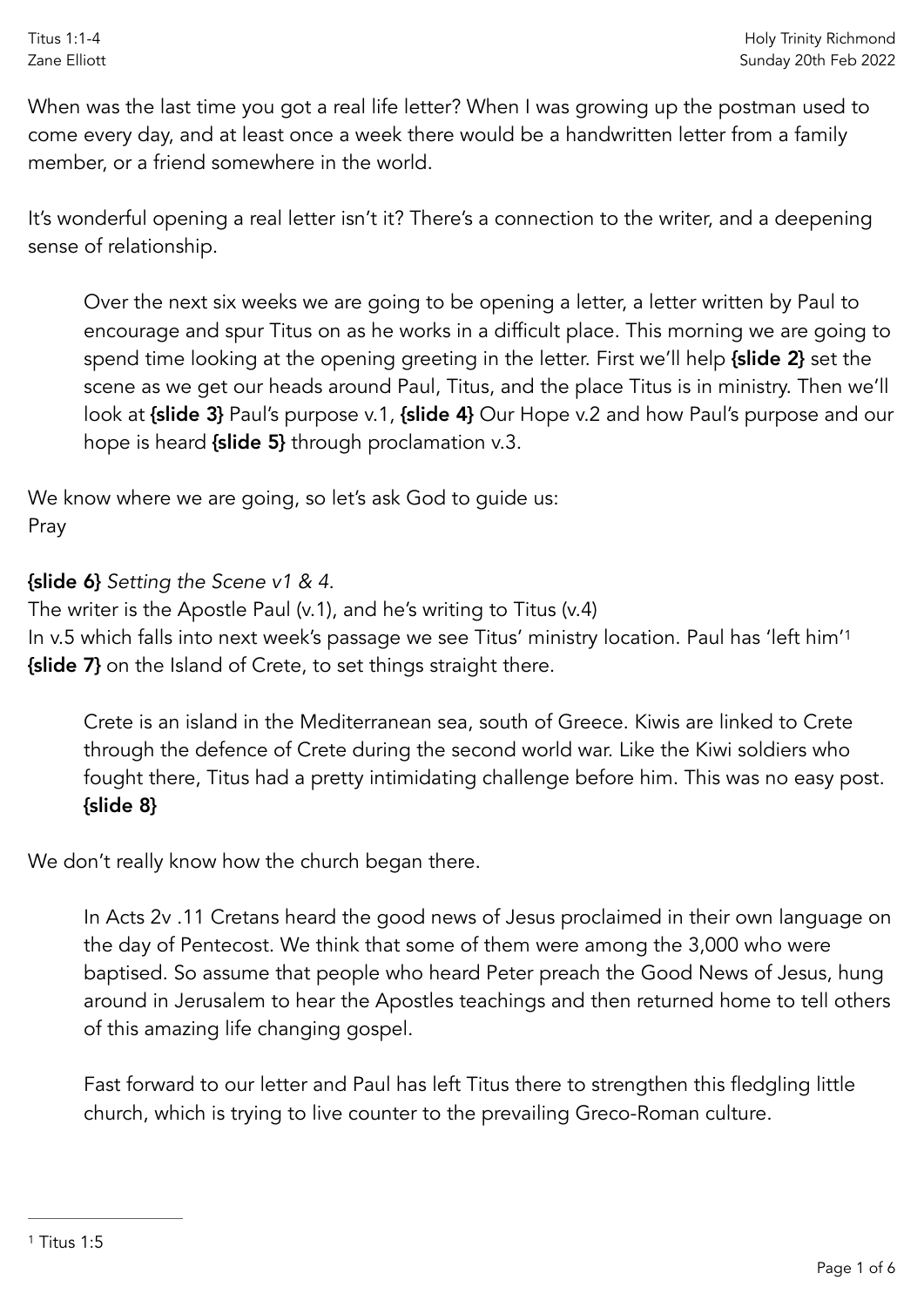Titus 1:1-4 Zane Elliott

When was the last time you got a real life letter? When I was growing up the postman used to come every day, and at least once a week there would be a handwritten letter from a family member, or a friend somewhere in the world.

It's wonderful opening a real letter isn't it? There's a connection to the writer, and a deepening sense of relationship.

Over the next six weeks we are going to be opening a letter, a letter written by Paul to encourage and spur Titus on as he works in a difficult place. This morning we are going to spend time looking at the opening greeting in the letter. First we'll help {slide 2} set the scene as we get our heads around Paul, Titus, and the place Titus is in ministry. Then we'll look at {slide 3} Paul's purpose v.1, {slide 4} Our Hope v.2 and how Paul's purpose and our hope is heard {slide 5} through proclamation v.3.

We know where we are going, so let's ask God to guide us: Pray

{slide 6} *Setting the Scene v1 & 4.*

The writer is the Apostle Paul (v.1), and he's writing to Titus (v.4) In v.5 which falls into next week's passage we see Titus' ministry location. Paul has 'left him['1](#page-0-0) {slide 7} on the Island of Crete, to set things straight there.

<span id="page-0-1"></span>Crete is an island in the Mediterranean sea, south of Greece. Kiwis are linked to Crete through the defence of Crete during the second world war. Like the Kiwi soldiers who fought there, Titus had a pretty intimidating challenge before him. This was no easy post. {slide 8}

We don't really know how the church began there.

In Acts 2v .11 Cretans heard the good news of Jesus proclaimed in their own language on the day of Pentecost. We think that some of them were among the 3,000 who were baptised. So assume that people who heard Peter preach the Good News of Jesus, hung around in Jerusalem to hear the Apostles teachings and then returned home to tell others of this amazing life changing gospel.

<span id="page-0-0"></span>Fast forward to our letter and Paul has left Titus there to strengthen this fledgling little church, which is trying to live counter to the prevailing Greco-Roman culture.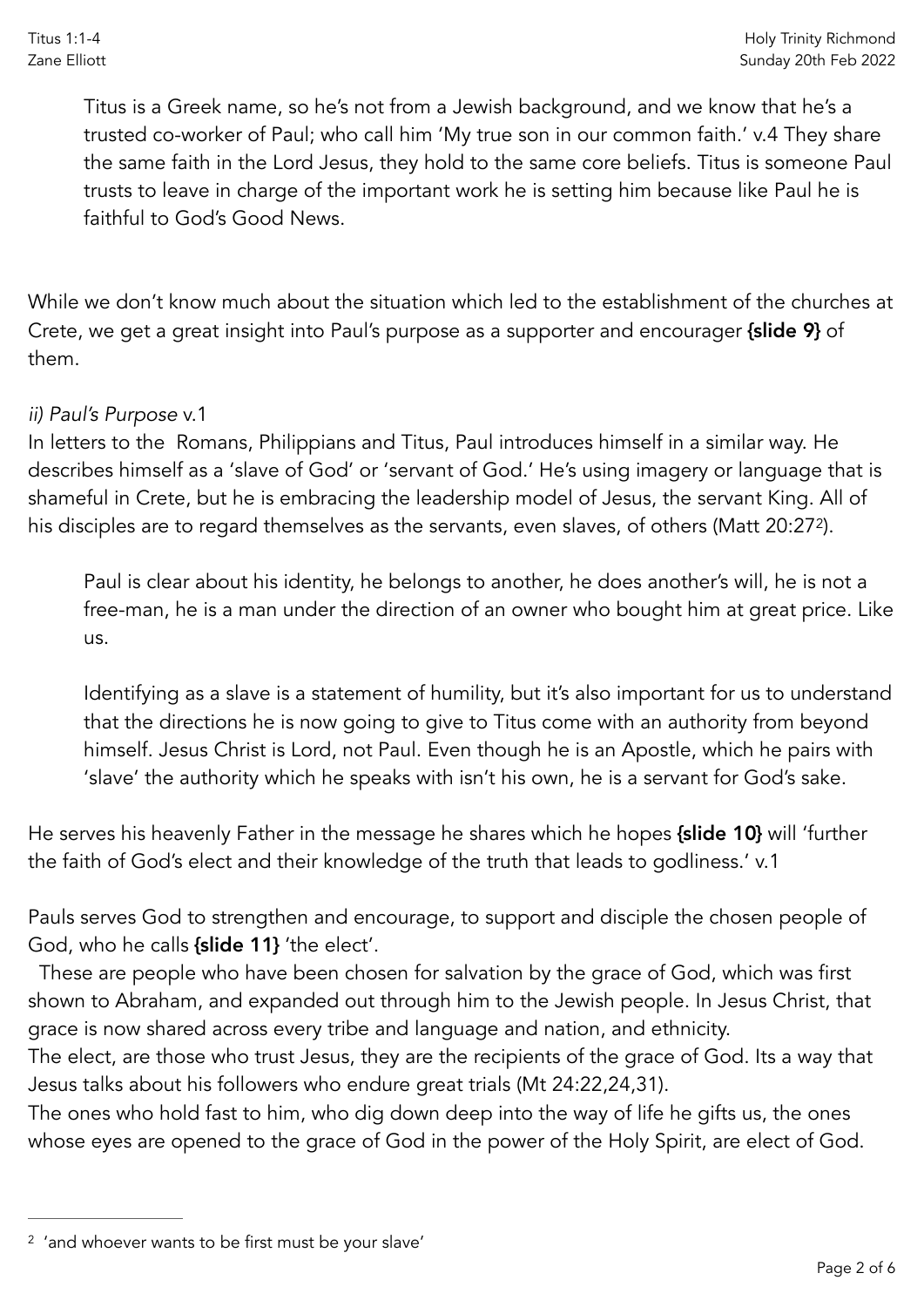Titus is a Greek name, so he's not from a Jewish background, and we know that he's a trusted co-worker of Paul; who call him 'My true son in our common faith.' v.4 They share the same faith in the Lord Jesus, they hold to the same core beliefs. Titus is someone Paul trusts to leave in charge of the important work he is setting him because like Paul he is faithful to God's Good News.

While we don't know much about the situation which led to the establishment of the churches at Crete, we get a great insight into Paul's purpose as a supporter and encourager {slide 9} of them.

## *ii) Paul's Purpose* v.1

In letters to the Romans, Philippians and Titus, Paul introduces himself in a similar way. He describes himself as a 'slave of God' or 'servant of God.' He's using imagery or language that is shameful in Crete, but he is embracing the leadership model of Jesus, the servant King. All of his disciples are to regard themselves as the servants, even slaves, of others (Matt 20:27<sup>2</sup>[\)](#page-1-0).

<span id="page-1-1"></span>Paul is clear about his identity, he belongs to another, he does another's will, he is not a free-man, he is a man under the direction of an owner who bought him at great price. Like us.

Identifying as a slave is a statement of humility, but it's also important for us to understand that the directions he is now going to give to Titus come with an authority from beyond himself. Jesus Christ is Lord, not Paul. Even though he is an Apostle, which he pairs with 'slave' the authority which he speaks with isn't his own, he is a servant for God's sake.

He serves his heavenly Father in the message he shares which he hopes {slide 10} will 'further the faith of God's elect and their knowledge of the truth that leads to godliness.' v.1

Pauls serves God to strengthen and encourage, to support and disciple the chosen people of God, who he calls {slide 11} 'the elect'.

 These are people who have been chosen for salvation by the grace of God, which was first shown to Abraham, and expanded out through him to the Jewish people. In Jesus Christ, that grace is now shared across every tribe and language and nation, and ethnicity.

The elect, are those who trust Jesus, they are the recipients of the grace of God. Its a way that Jesus talks about his followers who endure great trials (Mt 24:22,24,31).

The ones who hold fast to him, who dig down deep into the way of life he gifts us, the ones whose eyes are opened to the grace of God in the power of the Holy Spirit, are elect of God.

<span id="page-1-0"></span><sup>&</sup>lt;sup>[2](#page-1-1)</sup> 'and whoever wants to be first must be your slave'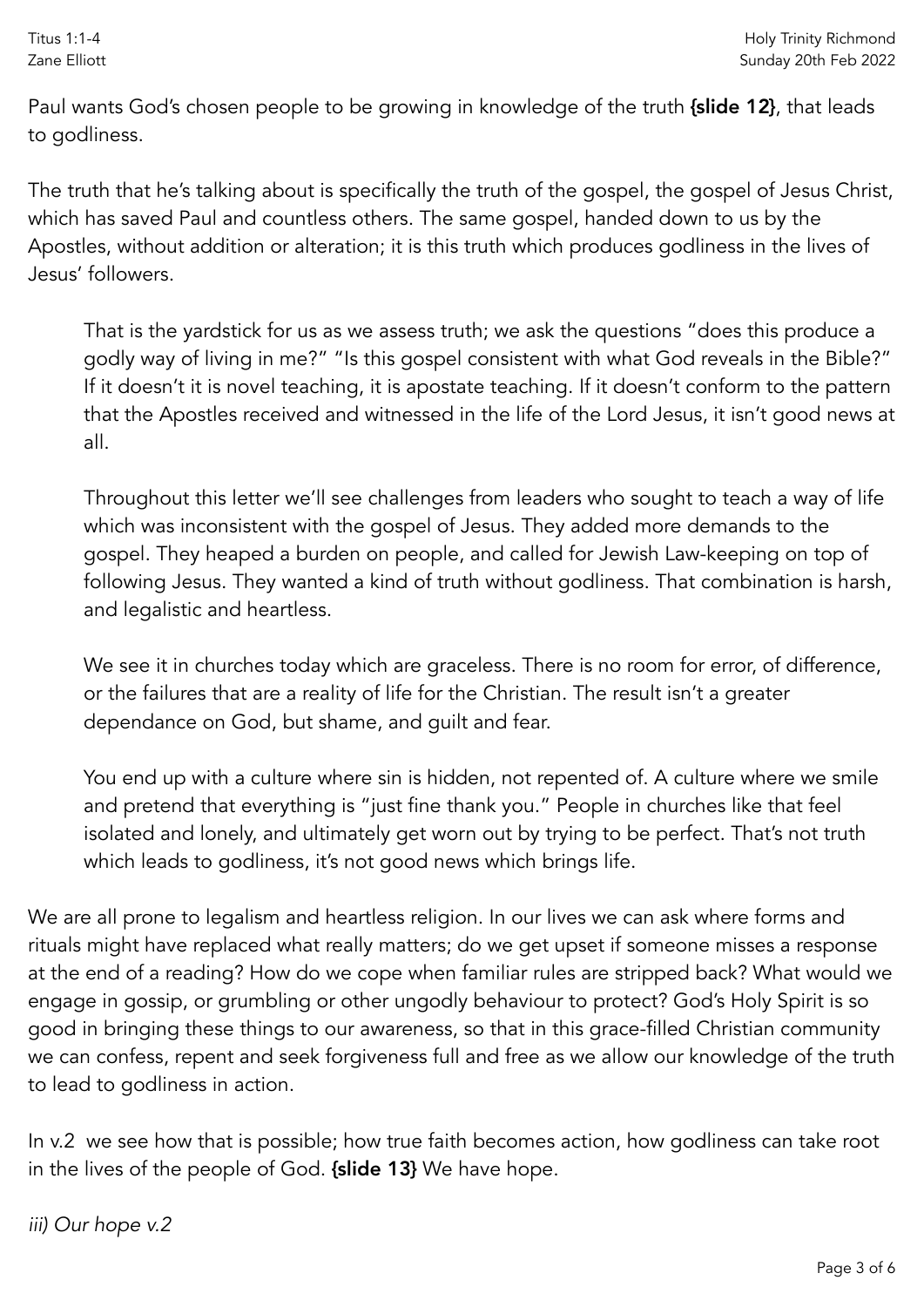Paul wants God's chosen people to be growing in knowledge of the truth {slide 12}, that leads to godliness.

The truth that he's talking about is specifically the truth of the gospel, the gospel of Jesus Christ, which has saved Paul and countless others. The same gospel, handed down to us by the Apostles, without addition or alteration; it is this truth which produces godliness in the lives of Jesus' followers.

That is the yardstick for us as we assess truth; we ask the questions "does this produce a godly way of living in me?" "Is this gospel consistent with what God reveals in the Bible?" If it doesn't it is novel teaching, it is apostate teaching. If it doesn't conform to the pattern that the Apostles received and witnessed in the life of the Lord Jesus, it isn't good news at all.

Throughout this letter we'll see challenges from leaders who sought to teach a way of life which was inconsistent with the gospel of Jesus. They added more demands to the gospel. They heaped a burden on people, and called for Jewish Law-keeping on top of following Jesus. They wanted a kind of truth without godliness. That combination is harsh, and legalistic and heartless.

We see it in churches today which are graceless. There is no room for error, of difference, or the failures that are a reality of life for the Christian. The result isn't a greater dependance on God, but shame, and guilt and fear.

You end up with a culture where sin is hidden, not repented of. A culture where we smile and pretend that everything is "just fine thank you." People in churches like that feel isolated and lonely, and ultimately get worn out by trying to be perfect. That's not truth which leads to godliness, it's not good news which brings life.

We are all prone to legalism and heartless religion. In our lives we can ask where forms and rituals might have replaced what really matters; do we get upset if someone misses a response at the end of a reading? How do we cope when familiar rules are stripped back? What would we engage in gossip, or grumbling or other ungodly behaviour to protect? God's Holy Spirit is so good in bringing these things to our awareness, so that in this grace-filled Christian community we can confess, repent and seek forgiveness full and free as we allow our knowledge of the truth to lead to godliness in action.

In v.2 we see how that is possible; how true faith becomes action, how godliness can take root in the lives of the people of God. {slide 13} We have hope.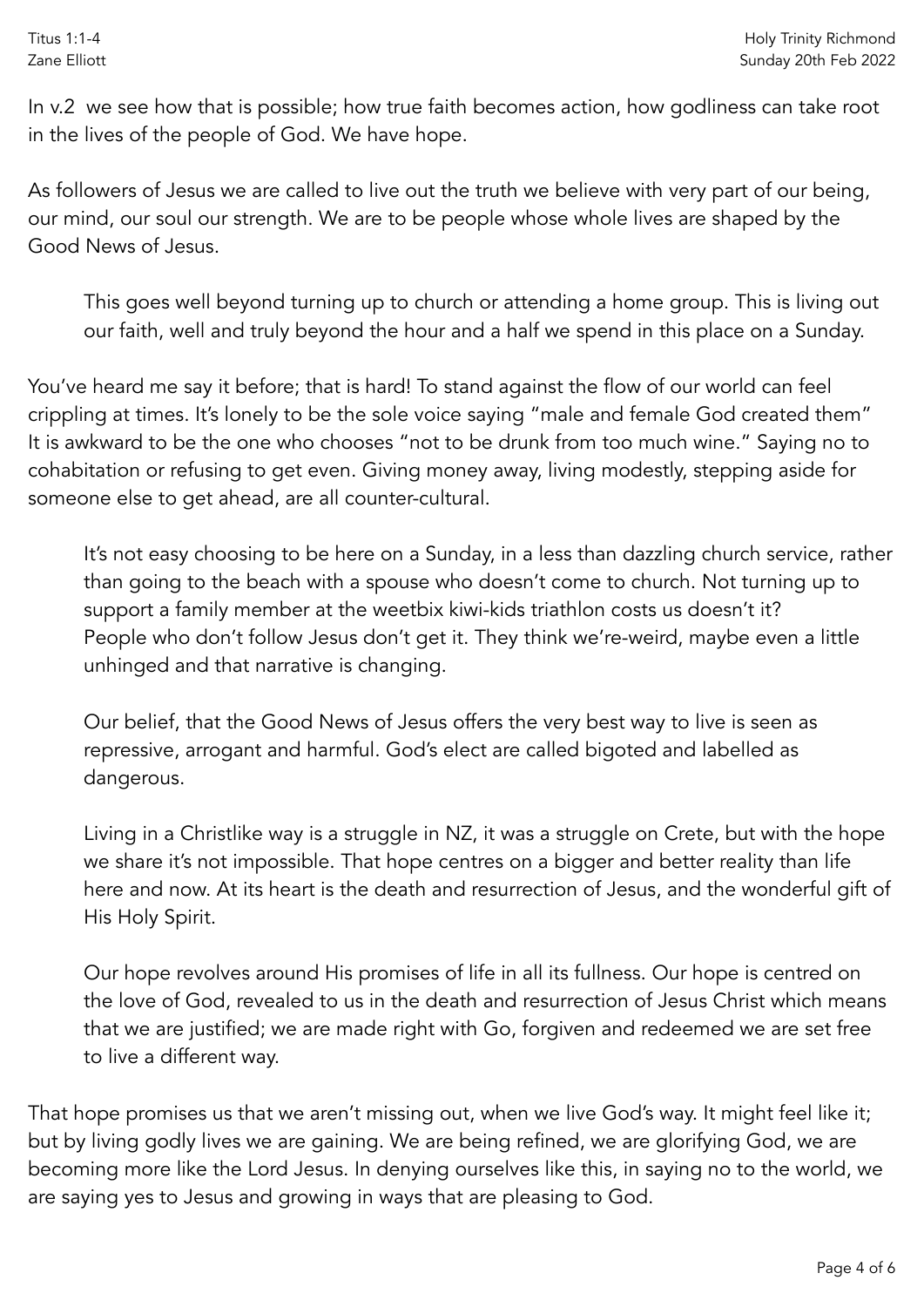In v.2 we see how that is possible; how true faith becomes action, how godliness can take root in the lives of the people of God. We have hope.

As followers of Jesus we are called to live out the truth we believe with very part of our being, our mind, our soul our strength. We are to be people whose whole lives are shaped by the Good News of Jesus.

This goes well beyond turning up to church or attending a home group. This is living out our faith, well and truly beyond the hour and a half we spend in this place on a Sunday.

You've heard me say it before; that is hard! To stand against the flow of our world can feel crippling at times. It's lonely to be the sole voice saying "male and female God created them" It is awkward to be the one who chooses "not to be drunk from too much wine." Saying no to cohabitation or refusing to get even. Giving money away, living modestly, stepping aside for someone else to get ahead, are all counter-cultural.

It's not easy choosing to be here on a Sunday, in a less than dazzling church service, rather than going to the beach with a spouse who doesn't come to church. Not turning up to support a family member at the weetbix kiwi-kids triathlon costs us doesn't it? People who don't follow Jesus don't get it. They think we're-weird, maybe even a little unhinged and that narrative is changing.

Our belief, that the Good News of Jesus offers the very best way to live is seen as repressive, arrogant and harmful. God's elect are called bigoted and labelled as dangerous.

Living in a Christlike way is a struggle in NZ, it was a struggle on Crete, but with the hope we share it's not impossible. That hope centres on a bigger and better reality than life here and now. At its heart is the death and resurrection of Jesus, and the wonderful gift of His Holy Spirit.

Our hope revolves around His promises of life in all its fullness. Our hope is centred on the love of God, revealed to us in the death and resurrection of Jesus Christ which means that we are justified; we are made right with Go, forgiven and redeemed we are set free to live a different way.

That hope promises us that we aren't missing out, when we live God's way. It might feel like it; but by living godly lives we are gaining. We are being refined, we are glorifying God, we are becoming more like the Lord Jesus. In denying ourselves like this, in saying no to the world, we are saying yes to Jesus and growing in ways that are pleasing to God.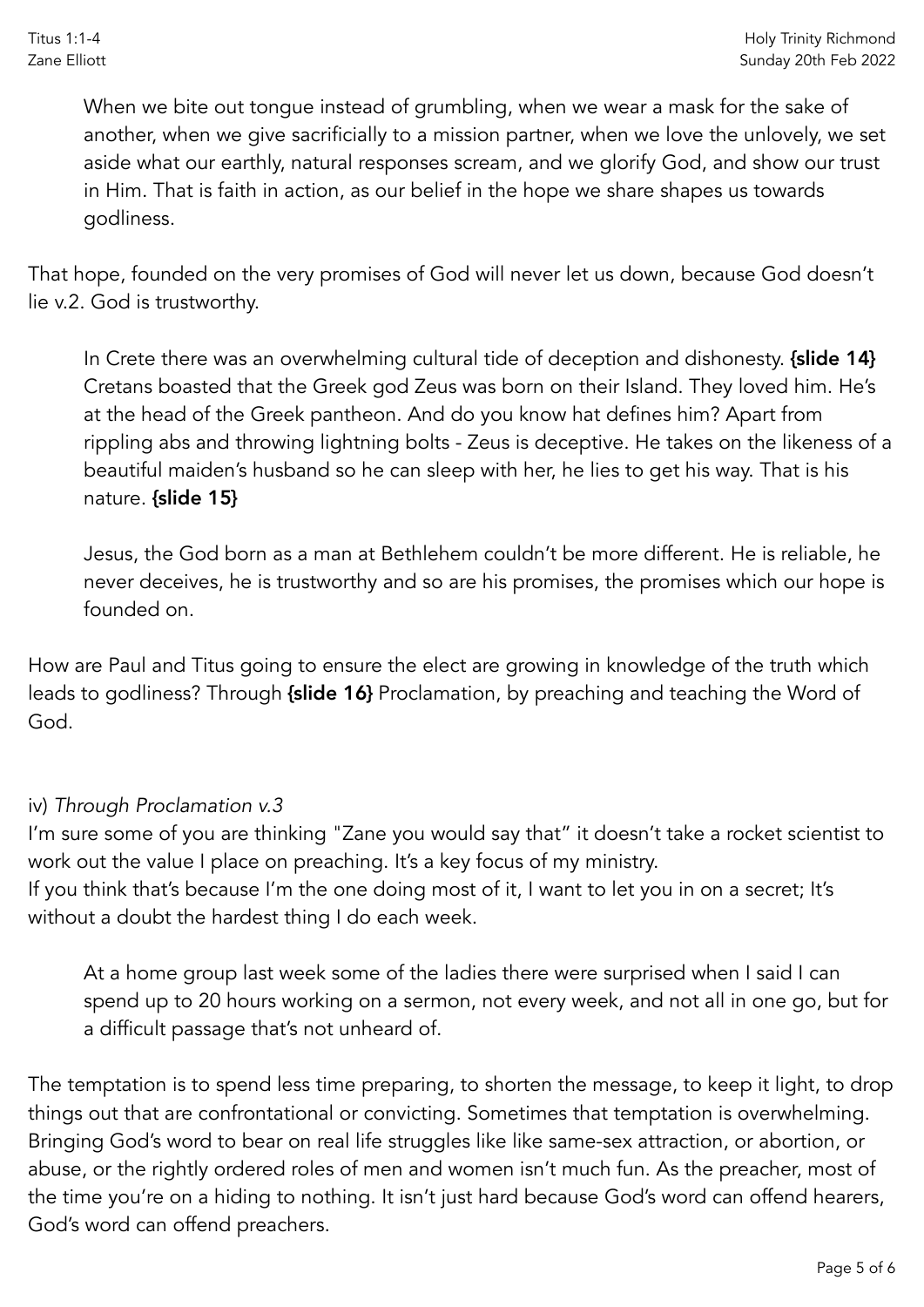When we bite out tongue instead of grumbling, when we wear a mask for the sake of another, when we give sacrificially to a mission partner, when we love the unlovely, we set aside what our earthly, natural responses scream, and we glorify God, and show our trust in Him. That is faith in action, as our belief in the hope we share shapes us towards godliness.

That hope, founded on the very promises of God will never let us down, because God doesn't lie v.2. God is trustworthy.

In Crete there was an overwhelming cultural tide of deception and dishonesty. {slide 14} Cretans boasted that the Greek god Zeus was born on their Island. They loved him. He's at the head of the Greek pantheon. And do you know hat defines him? Apart from rippling abs and throwing lightning bolts - Zeus is deceptive. He takes on the likeness of a beautiful maiden's husband so he can sleep with her, he lies to get his way. That is his nature. {slide 15}

Jesus, the God born as a man at Bethlehem couldn't be more different. He is reliable, he never deceives, he is trustworthy and so are his promises, the promises which our hope is founded on.

How are Paul and Titus going to ensure the elect are growing in knowledge of the truth which leads to godliness? Through {slide 16} Proclamation, by preaching and teaching the Word of God.

## iv) *Through Proclamation v.3*

I'm sure some of you are thinking "Zane you would say that" it doesn't take a rocket scientist to work out the value I place on preaching. It's a key focus of my ministry.

If you think that's because I'm the one doing most of it, I want to let you in on a secret; It's without a doubt the hardest thing I do each week.

At a home group last week some of the ladies there were surprised when I said I can spend up to 20 hours working on a sermon, not every week, and not all in one go, but for a difficult passage that's not unheard of.

The temptation is to spend less time preparing, to shorten the message, to keep it light, to drop things out that are confrontational or convicting. Sometimes that temptation is overwhelming. Bringing God's word to bear on real life struggles like like same-sex attraction, or abortion, or abuse, or the rightly ordered roles of men and women isn't much fun. As the preacher, most of the time you're on a hiding to nothing. It isn't just hard because God's word can offend hearers, God's word can offend preachers.